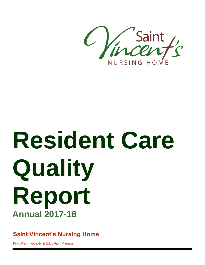

# **Resident Care Quality Report Annual 2017-18**

**Saint Vincent's Nursing Home**

Kim Wright, Quality & Education Manager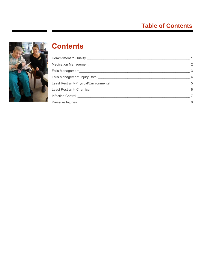# **Table of Contents**



# **Contents**

|                                                       | $\overline{\phantom{a}}$ |
|-------------------------------------------------------|--------------------------|
|                                                       | $\overline{\mathbf{3}}$  |
|                                                       | $\overline{4}$           |
|                                                       | $5\phantom{0}$           |
|                                                       | $6\overline{6}$          |
|                                                       |                          |
| Pressure Injuries ___________________________________ | 8                        |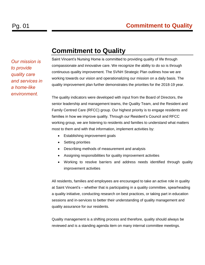*Our mission is to provide quality care and services in a home-like environment.*

# <span id="page-2-0"></span>**Commitment to Quality**

Saint Vincent's Nursing Home is committed to providing quality of life through compassionate and innovative care. We recognize the ability to do so is through continuous quality improvement. The SVNH Strategic Plan outlines how we are working towards our vision and operationalizing our mission on a daily basis. The quality improvement plan further demonstrates the priorities for the 2018-19 year.

The quality indicators were developed with input from the Board of Directors, the senior leadership and management teams, the Quality Team, and the Resident and Family Centred Care (RFCC) group. Our highest priority is to engage residents and families in how we improve quality. Through our Resident's Council and RFCC working group, we are listening to residents and families to understand what matters most to them and with that information, implement activities by:

- Establishing improvement goals
- Setting priorities
- Describing methods of measurement and analysis
- Assigning responsibilities for quality improvement activities
- Working to resolve barriers and address needs identified through quality improvement activities

All residents, families and employees are encouraged to take an active role in quality at Saint Vincent's – whether that is participating in a quality committee, spearheading a quality initiative, conducting research on best practices, or taking part in education sessions and in-services to better their understanding of quality management and quality assurance for our residents.

Quality management is a shifting process and therefore, quality should always be reviewed and is a standing agenda item on many internal committee meetings.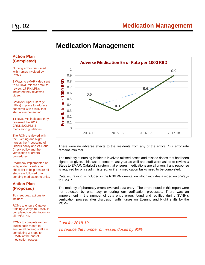# Pg. 02 **Medication Management**

# <span id="page-3-0"></span>**Medication Management**

### **Action Plan (Completed)**

Nursing errors discussed with nurses involved by RCMs.

3 Ways to eMAR video sent to all RN/LPNs via email to review. 17 RN/LPNs indicated they reviewed video.

Catalyst Super Users (2 LPNs) in place to address concerns with eMAR that staff are experiencing.

14 RN/LPNs indicated they reviewed the 2017 CRNNS/CLPNNS medication guidelines.

The RCMs reviewed with the Evening and Night nurses the Processing of Orders policy and 24 Hour Check policy and the verification of orders procedures.

Pharmacy implemented an independent verification check list to help ensure all steps are followed prior to sending medication to units.

### **Action Plan (Proposed)**

To meet goal, actions to include:

RCMs to ensure Catalyst training 3 Ways to EMAR is completed on orientation for all RN/LPNs.

RCMs to complete random audits each month to ensure all nursing staff are completing 3 Steps to EMAR at the end of medication passes.



There were no adverse effects to the residents from any of the errors. Our error rate remains minimal.

The majority of nursing incidents involved missed doses and missed doses that had been signed as given. This was a concern last year as well and staff were asked to review 3 Steps to EMAR, Catalyst's system that ensures medications are all given, if any response is required for prn's administered, or if any medication tasks need to be completed.

Catalyst training is included in the RN/LPN orientation which includes a video on 3 Ways to EMAR.

The majority of pharmacy errors involved data entry. The errors noted in this report were not detected by pharmacy or during our verification processes. There was an improvement in the number of data entry errors found and rectified during SVNH's verification process after discussion with nurses on Evening and Night shifts by the RCMs.

*Goal for 2018-19 To reduce the number of missed doses by 90%.*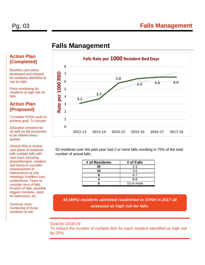# <span id="page-4-0"></span>**Falls Management**

# **Action Plan (Completed)**

Baseline care plans developed and initiated for residents identified at risk for falls.

Extra monitoring for residents at high risk for falls.

### **Action Plan (Proposed)**

To initiate PDSA cycle to achieve goal. To include:

Education sessions for all staff on fall prevention to be offered every quarter.

Clinical RNs to review care plans of residents with multiple falls with care team including physiotherapist, resident and family to consider reassessment of interventions at unit meetings/ huddles/ care conferences. Team to consider time of falls, location of falls, possible triggers (restless, need for bathroom), etc.

Continue close monitoring of those residents at risk.



63 residents over the past year had 2 or more falls resulting in 75% of the total number of actual falls.

| # of Residents | # of Falls |
|----------------|------------|
| 26             | $2 - 3$    |
| 16             | $4 - 5$    |
|                | հ-7        |
|                | $8-9$      |
|                | 10 or more |

*44 (49%) residents admitted/ readmitted to SVNH in 2017-18 assessed as high risk for falls.*

*Goal for 2018-19 To reduce the number of multiple falls for each resident identified as high risk by 25%.*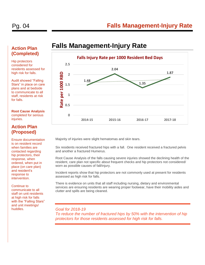# Pg. 04 **Falls Management-Injury Rate**

# <span id="page-5-0"></span>**Falls Management-Injury Rate**



Majority of injuries were slight hematomas and skin tears.

Six residents received fractured hips with a fall. One resident received a fractured pelvis and another a fractured Humerus.

Root Cause Analysis of the falls causing severe injuries showed the declining health of the resident, care plan not specific about frequent checks and hip protectors not considered/ worn as possible causes of fall/injury.

Incident reports show that hip protectors are not commonly used at present for residents assessed as high risk for falls.

There is evidence on units that all staff including nursing, dietary and environmental services are ensuring residents are wearing proper footwear, have their mobility aides and clutter and spills are being cleaned.

*Goal for 2018-19 To reduce the number of fractured hips by 50% with the intervention of hip protectors for those residents assessed for high risk for falls.*

### **Action Plan (Completed)**

Hip protectors considered for residents assessed for high risk for falls.

Audit showed "Falling Stars" in place on care plans and at bedside to communicate to all staff, residents at risk for falls.

**Root Cause Analysis** completed for serious injuries.

## **Action Plan (Proposed)**

Ensure documentation is on resident record when families are contacted regarding hip protectors, their response, when ordered, when put in place (on care plan) and resident's response to intervention.

Continue to communicate to all staff on unit residents at high risk for falls with the "Falling Stars" and unit meetings/ huddles.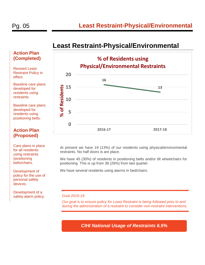# <span id="page-6-0"></span>**Least Restraint-Physical/Environmental**

### **Action Plan (Completed)**

Revised Least Restraint Policy in effect.

Baseline care plans developed for residents using restraints.

Baseline care plans developed for residents using positioning belts.

### **Action Plan (Proposed)**

Care plans in place for all residents using restraints /positioning belts/chairs.

Development of policy for the use of personal safety devices.

Development of a safety alarm policy. *Goal 2016-18*



At present we have 19 (13%) of our residents using physical/environmental restraints. No half doors is are place.

We have 45 (30%) of residents in positioning belts and/or tilt wheelchairs for positioning. This is up from 38 (26%) from last quarter.

We have several residents using alarms in bed/chairs.

*Our goal is to ensure policy for Least Restraint is being followed prior to and during the administration of a restraint to consider non-restraint interventions.*

*CIHI National Usage of Restraints 6.5%*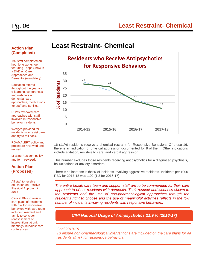# Pg. 06 **Least Restraint- Chemical**

# <span id="page-7-0"></span>**Least Restraint- Chemical**



16 (11%) residents receive a chemical restraint for Responsive Behaviors. Of those 16, there is an indication of physical aggression documented for 8 of them. Other indications include agitation, resistive to care, and verbal aggression.

This number excludes those residents receiving antipsychotics for a diagnosed psychosis, hallucinations or anxiety disorders.

There is no increase in the % of incidents involving aggressive residents. Incidents per 1000 RBD for 2017-18 was 1.02 (1.3 for 2016-17).

*The entire health care team and support staff are to be commended for their care approach to of our residents with dementia. Their respect and kindness shown to the residents and the use of non-pharmacological approaches through the resident's right to choose and the use of meaningful activities reflects in the low number of incidents involving residents with responsive behaviors.*

*CIHI National Usage of Antipsychotics 21.9 % (2016-17)*

### *Goal 2018-19*

*To ensure non-pharmacological interventions are included on the care plans for all residents at risk for responsive behaviors.*

### **Action Plan (Completed)**

192 staff completed an hour long workshop featuring Teepa Snow in a DVD on Care Approaches and Dementia (mandatory).

Education offered throughout the year via e-learning, conferences and webinars on dementia, care approaches, medications for staff and families.

RCMs reviewed care approaches with staff involved in responsive behavior incidents.

Wedges provided for residents who resist care and try to roll back.

ROAMALERT policy and procedure reviewed and revised.

Missing Resident policy and form revised.

### **Action Plan (Proposed)**

All staff to receive education on Positive Physical Approach in 2018

Clinical RNs to review care plans of residents with risk for responsive behaviors with care team including resident and family to consider reassessment of interventions at unit meetings/ huddles/ care conferences.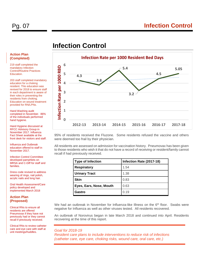# <span id="page-8-0"></span>**Infection Control**

### **Infection Rate per 1000 Resident Bed Days 6** nfection Rate per 1000 RBD **Infection Rate per 1000 RBD 5.4 5.05 5 4.5 4.3 3.8 4 3 3.2 2 1 0 2012-13 2013-14 2014-15 2015-16 2016-17 2017-18**

95% of residents received the Fluzone. Some residents refused the vaccine and others were deemed too frail by their physician.

All residents are assessed on admission for vaccination history. Pneumovax has been given to those residents who wish it that do not have a record of receiving or resident/family cannot recall if had previously received.

| <b>Type of Infection</b> | Infection Rate (2017-18) |
|--------------------------|--------------------------|
| <b>Respiratory</b>       | 1.54                     |
| <b>Urinary Tract</b>     | 1.38                     |
| <b>Skin</b>              | 0.83                     |
| Eyes, Ears, Nose, Mouth  | 0.63                     |
| Gastro                   | 0.19                     |

We had an outbreak in November for Influenza-like Illness on the 6<sup>th</sup> floor. Swabs were negative for Influenza as well as other viruses tested. All residents recovered.

An outbreak of Norovirus began in late March 2018 and continued into April. Residents recovering at the time of this report.

### *Goal for 2018-19*

*Resident care plans to include interventions to reduce risk of infections (catheter care, eye care, choking risks, wound care, oral care, etc.)*

### **Action Plan (Completed)**

219 staff completed the mandatory Infection Control/Routine Practices Education.

203 staff completed mandatory education for a choking resident. This education was revised for 2018 to ensure staff in each department is aware of their roles in preventing the residents from choking. Education on wound treatment provided for RN/LPNs.

Hand Washing audit completed in November. 86% of the individuals performed hand hygiene.

Hand Hygiene discussed at RFCC Advisory Group in November 2017. Influenza Fact Sheet available at the front desk for visitors and staff.

Influenza and Outbreak education offered to staff in November 2017.

Infection Control Committee developed pamphlets on MRSA and C-Diff for staff and families.

Dress code revised to address wearing of rings, nail polish, acrylic nails and long hair.

Oral Health Assessment/Care policy developed and implemented March 2018

### **Action Plan (Proposed)**

Clinical RNs to ensure all residents are offered Pneumovax if they have not previously had or they cannot recall if previously received.

Clinical RNs to review catheter care and eye care with staff at unit meetings/huddles.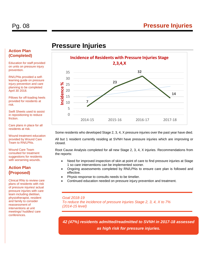# <span id="page-9-0"></span>**Pressure Injuries**



Some residents who developed Stage 2, 3, 4, X pressure injuries over the past year have died.

All but 1 resident currently residing at SVNH have pressure injuries which are improving or closed.

Root Cause Analysis completed for all new Stage 2, 3, 4, X injuries. Recommendations from the reports:

- Need for improved inspection of skin at point of care to find pressure injuries at Stage 1 so care interventions can be implemented sooner.
- Ongoing assessments completed by RN/LPNs to ensure care plan is followed and effective.
- Physio response to consults needs to be timelier.
- Continued education needed on pressure injury prevention and treatment.

*Goal 2018-19 To reduce the incidence of pressure injuries Stage 2, 3, 4, X to 7% (2014-15 level)*

*42 (47%) residents admitted/readmitted to SVNH in 2017-18 assessed as high risk for pressure injuries.*

### **Action Plan (Completed)**

Education for staff provided on units on pressure injury prevention.

RN/LPNs provided a selflearning guide on pressure injury prevention and care planning to be completed April 30 2018.

Pillows for off-loading heels provided for residents at risk.

Swift Sheets used to assist in repositioning to reduce friction.

Care plans in place for all residents at risk.

Wound treatment education provided by Wound Care Team to RN/LPNs.

Wound Care Team consulted for treatment suggestions for residents with worsening wounds.

### **Action Plan (Proposed)**

Clinical RNs to review care plans of residents with risk of pressure injuries/ actual pressure injuries with care team including dietitian, physiotherapist, resident and family to consider reassessment of interventions at unit meetings/ huddles/ care conferences.